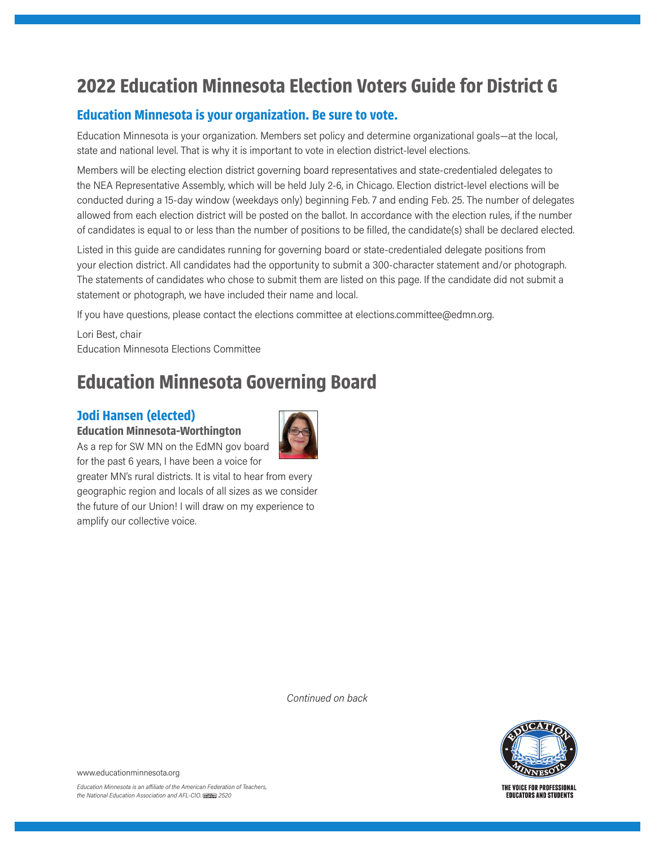# **2022 Education Minnesota Election Voters Guide for District G**

### **Education Minnesota is your organization. Be sure to vote.**

Education Minnesota is your organization. Members set policy and determine organizational goals—at the local, state and national level. That is why it is important to vote in election district-level elections.

Members will be electing election district governing board representatives and state-credentialed delegates to the NEA Representative Assembly, which will be held July 2-6, in Chicago. Election district-level elections will be conducted during a 15-day window (weekdays only) beginning Feb. 7 and ending Feb. 25. The number of delegates allowed from each election district will be posted on the ballot. In accordance with the election rules, if the number of candidates is equal to or less than the number of positions to be filled, the candidate(s) shall be declared elected.

Listed in this guide are candidates running for governing board or state-credentialed delegate positions from your election district. All candidates had the opportunity to submit a 300-character statement and/or photograph. The statements of candidates who chose to submit them are listed on this page. If the candidate did not submit a statement or photograph, we have included their name and local.

If you have questions, please contact the elections committee at elections.committee@edmn.org.

Lori Best, chair Education Minnesota Elections Committee

## **Education Minnesota Governing Board**

### **Jodi Hansen (elected)**

**Education Minnesota-Worthington**



As a rep for SW MN on the EdMN gov board for the past 6 years, I have been a voice for greater MN's rural districts. It is vital to hear from every

geographic region and locals of all sizes as we consider the future of our Union! I will draw on my experience to amplify our collective voice.

*Continued on back*



**EDUCATORS AND STUDENTS** 

www.educationminnesota.org